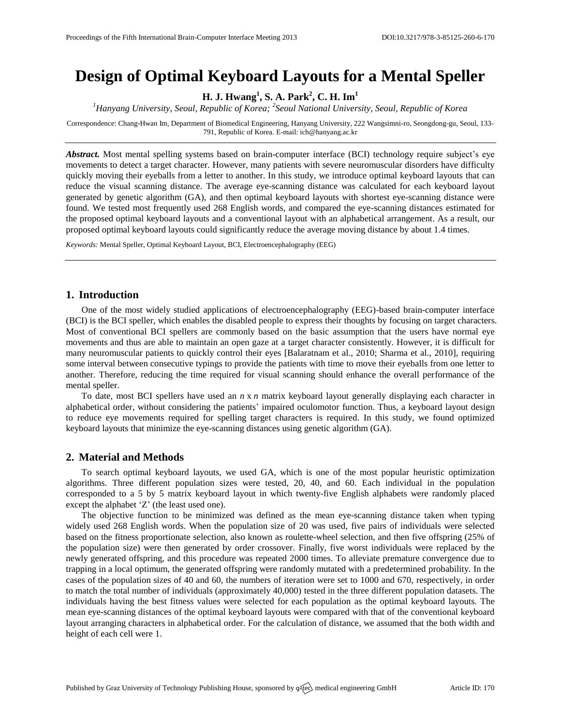# **Design of Optimal Keyboard Layouts for a Mental Speller**

**H. J. Hwang<sup>1</sup> , S. A. Park<sup>2</sup> , C. H. Im<sup>1</sup>**

<sup>1</sup> Hanyang University, Seoul, Republic of Korea; <sup>2</sup> Seoul National University, Seoul, Republic of Korea

Correspondence: Chang-Hwan Im, Department of Biomedical Engineering, Hanyang University, 222 Wangsimni-ro, Seongdong-gu, Seoul, 133- 791, Republic of Korea. E-mail[: ich@hanyang.ac.kr](mailto:corresponding.author@address.com)

*Abstract.* Most mental spelling systems based on brain-computer interface (BCI) technology require subject's eye movements to detect a target character. However, many patients with severe neuromuscular disorders have difficulty quickly moving their eyeballs from a letter to another. In this study, we introduce optimal keyboard layouts that can reduce the visual scanning distance. The average eye-scanning distance was calculated for each keyboard layout generated by genetic algorithm (GA), and then optimal keyboard layouts with shortest eye-scanning distance were found. We tested most frequently used 268 English words, and compared the eye-scanning distances estimated for the proposed optimal keyboard layouts and a conventional layout with an alphabetical arrangement. As a result, our proposed optimal keyboard layouts could significantly reduce the average moving distance by about 1.4 times.

*Keywords:* Mental Speller, Optimal Keyboard Layout, BCI, Electroencephalography (EEG)

### **1. Introduction**

One of the most widely studied applications of electroencephalography (EEG)-based brain-computer interface (BCI) is the BCI speller, which enables the disabled people to express their thoughts by focusing on target characters. Most of conventional BCI spellers are commonly based on the basic assumption that the users have normal eye movements and thus are able to maintain an open gaze at a target character consistently. However, it is difficult for many neuromuscular patients to quickly control their eyes [Balaratnam et al., 2010; Sharma et al., 2010], requiring some interval between consecutive typings to provide the patients with time to move their eyeballs from one letter to another. Therefore, reducing the time required for visual scanning should enhance the overall performance of the mental speller.

To date, most BCI spellers have used an *n* x *n* matrix keyboard layout generally displaying each character in alphabetical order, without considering the patients' impaired oculomotor function. Thus, a keyboard layout design to reduce eye movements required for spelling target characters is required. In this study, we found optimized keyboard layouts that minimize the eye-scanning distances using genetic algorithm (GA).

## **2. Material and Methods**

To search optimal keyboard layouts, we used GA, which is one of the most popular heuristic optimization algorithms. Three different population sizes were tested, 20, 40, and 60. Each individual in the population corresponded to a 5 by 5 matrix keyboard layout in which twenty-five English alphabets were randomly placed except the alphabet 'Z' (the least used one).

The objective function to be minimized was defined as the mean eye-scanning distance taken when typing widely used 268 English words. When the population size of 20 was used, five pairs of individuals were selected based on the fitness proportionate selection, also known as roulette-wheel selection, and then five offspring (25% of the population size) were then generated by order crossover. Finally, five worst individuals were replaced by the newly generated offspring, and this procedure was repeated 2000 times. To alleviate premature convergence due to trapping in a local optimum, the generated offspring were randomly mutated with a predetermined probability. In the cases of the population sizes of 40 and 60, the numbers of iteration were set to 1000 and 670, respectively, in order to match the total number of individuals (approximately 40,000) tested in the three different population datasets. The individuals having the best fitness values were selected for each population as the optimal keyboard layouts. The mean eye-scanning distances of the optimal keyboard layouts were compared with that of the conventional keyboard layout arranging characters in alphabetical order. For the calculation of distance, we assumed that the both width and height of each cell were 1.